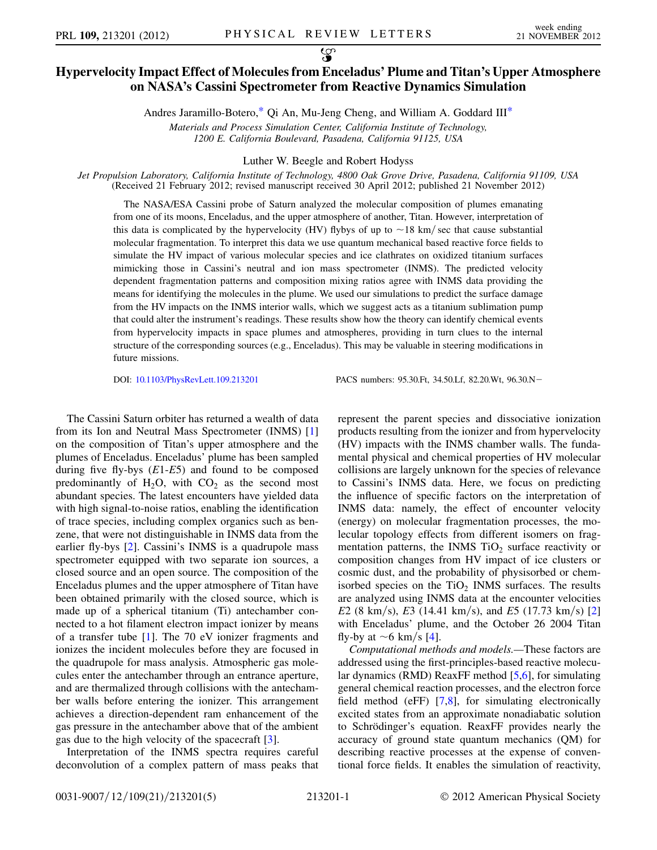Andres Jaramillo-Botero,[\\*](#page-4-0) Qi An, Mu-Jeng Cheng, and William A. Goddard III[\\*](#page-4-0)

Materials and Process Simulation Center, California Institute of Technology, 1200 E. California Boulevard, Pasadena, California 91125, USA

Luther W. Beegle and Robert Hodyss

<span id="page-0-0"></span>Jet Propulsion Laboratory, California Institute of Technology, 4800 Oak Grove Drive, Pasadena, California 91109, USA (Received 21 February 2012; revised manuscript received 30 April 2012; published 21 November 2012)

The NASA/ESA Cassini probe of Saturn analyzed the molecular composition of plumes emanating from one of its moons, Enceladus, and the upper atmosphere of another, Titan. However, interpretation of this data is complicated by the hypervelocity (HV) flybys of up to  $\sim$  18 km/ sec that cause substantial molecular fragmentation. To interpret this data we use quantum mechanical based reactive force fields to simulate the HV impact of various molecular species and ice clathrates on oxidized titanium surfaces mimicking those in Cassini's neutral and ion mass spectrometer (INMS). The predicted velocity dependent fragmentation patterns and composition mixing ratios agree with INMS data providing the means for identifying the molecules in the plume. We used our simulations to predict the surface damage from the HV impacts on the INMS interior walls, which we suggest acts as a titanium sublimation pump that could alter the instrument's readings. These results show how the theory can identify chemical events from hypervelocity impacts in space plumes and atmospheres, providing in turn clues to the internal structure of the corresponding sources (e.g., Enceladus). This may be valuable in steering modifications in future missions.

DOI: [10.1103/PhysRevLett.109.213201](http://dx.doi.org/10.1103/PhysRevLett.109.213201) PACS numbers: 95.30.Ft, 34.50.Lf, 82.20.Wt, 96.30.N-

The Cassini Saturn orbiter has returned a wealth of data from its Ion and Neutral Mass Spectrometer (INMS) [\[1\]](#page-4-1) on the composition of Titan's upper atmosphere and the plumes of Enceladus. Enceladus' plume has been sampled during five fly-bys  $(E1-E5)$  and found to be composed predominantly of  $H_2O$ , with  $CO_2$  as the second most abundant species. The latest encounters have yielded data with high signal-to-noise ratios, enabling the identification of trace species, including complex organics such as benzene, that were not distinguishable in INMS data from the earlier fly-bys [\[2](#page-4-2)]. Cassini's INMS is a quadrupole mass spectrometer equipped with two separate ion sources, a closed source and an open source. The composition of the Enceladus plumes and the upper atmosphere of Titan have been obtained primarily with the closed source, which is made up of a spherical titanium (Ti) antechamber connected to a hot filament electron impact ionizer by means of a transfer tube [[1\]](#page-4-1). The 70 eV ionizer fragments and ionizes the incident molecules before they are focused in the quadrupole for mass analysis. Atmospheric gas molecules enter the antechamber through an entrance aperture, and are thermalized through collisions with the antechamber walls before entering the ionizer. This arrangement achieves a direction-dependent ram enhancement of the gas pressure in the antechamber above that of the ambient gas due to the high velocity of the spacecraft [\[3\]](#page-4-3).

Interpretation of the INMS spectra requires careful deconvolution of a complex pattern of mass peaks that represent the parent species and dissociative ionization products resulting from the ionizer and from hypervelocity (HV) impacts with the INMS chamber walls. The fundamental physical and chemical properties of HV molecular collisions are largely unknown for the species of relevance to Cassini's INMS data. Here, we focus on predicting the influence of specific factors on the interpretation of INMS data: namely, the effect of encounter velocity (energy) on molecular fragmentation processes, the molecular topology effects from different isomers on fragmentation patterns, the INMS  $TiO<sub>2</sub>$  surface reactivity or composition changes from HV impact of ice clusters or cosmic dust, and the probability of physisorbed or chemisorbed species on the  $TiO<sub>2</sub>$  INMS surfaces. The results are analyzed using INMS data at the encounter velocities E2 (8 km/s), E3 (14.41 km/s), and E5 (17.73 km/s) [\[2\]](#page-4-2) with Enceladus' plume, and the October 26 2004 Titan fly-by at  $\sim$  6 km/s [\[4](#page-4-4)].

Computational methods and models.—These factors are addressed using the first-principles-based reactive molecular dynamics (RMD) ReaxFF method [[5](#page-4-5),[6\]](#page-4-6), for simulating general chemical reaction processes, and the electron force field method (eFF) [\[7,](#page-4-7)[8](#page-4-8)], for simulating electronically excited states from an approximate nonadiabatic solution to Schrödinger's equation. ReaxFF provides nearly the accuracy of ground state quantum mechanics (QM) for describing reactive processes at the expense of conventional force fields. It enables the simulation of reactivity,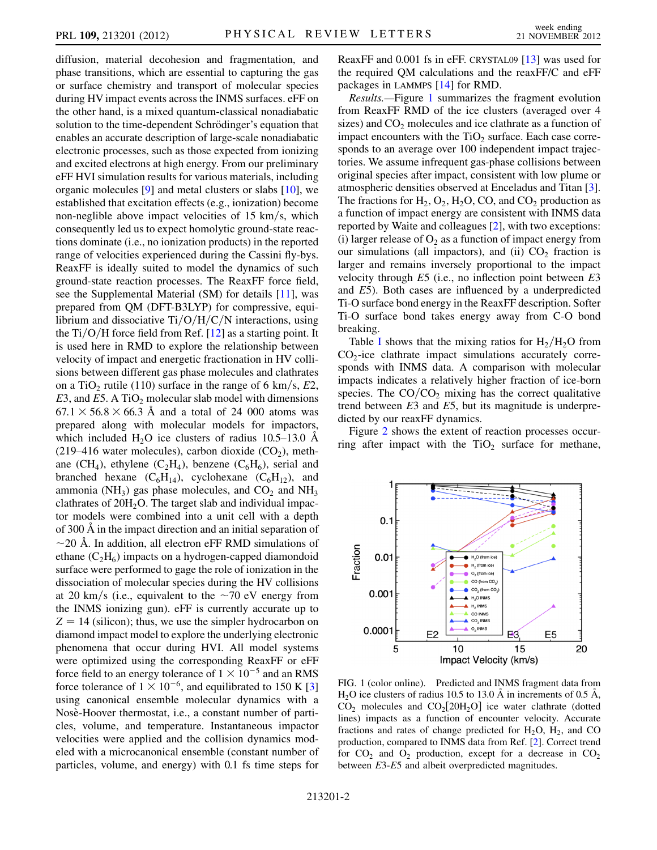diffusion, material decohesion and fragmentation, and phase transitions, which are essential to capturing the gas or surface chemistry and transport of molecular species during HV impact events across the INMS surfaces. eFF on the other hand, is a mixed quantum-classical nonadiabatic solution to the time-dependent Schrödinger's equation that enables an accurate description of large-scale nonadiabatic electronic processes, such as those expected from ionizing and excited electrons at high energy. From our preliminary eFF HVI simulation results for various materials, including organic molecules [\[9](#page-4-9)] and metal clusters or slabs [\[10\]](#page-4-10), we established that excitation effects (e.g., ionization) become non-neglible above impact velocities of  $15 \text{ km/s}$ , which consequently led us to expect homolytic ground-state reactions dominate (i.e., no ionization products) in the reported range of velocities experienced during the Cassini fly-bys. ReaxFF is ideally suited to model the dynamics of such ground-state reaction processes. The ReaxFF force field, see the Supplemental Material (SM) for details [[11](#page-4-11)], was prepared from QM (DFT-B3LYP) for compressive, equilibrium and dissociative  $Ti/O/H/C/N$  interactions, using the Ti/O/H force field from Ref.  $[12]$  $[12]$  $[12]$  as a starting point. It is used here in RMD to explore the relationship between velocity of impact and energetic fractionation in HV collisions between different gas phase molecules and clathrates on a TiO<sub>2</sub> rutile (110) surface in the range of 6 km/s, E2, E3, and E5. A TiO<sub>2</sub> molecular slab model with dimensions  $67.1 \times 56.8 \times 66.3$  Å and a total of 24 000 atoms was prepared along with molecular models for impactors, which included  $H_2O$  ice clusters of radius 10.5–13.0 A (219–416 water molecules), carbon dioxide  $(CO<sub>2</sub>)$ , methane (CH<sub>4</sub>), ethylene (C<sub>2</sub>H<sub>4</sub>), benzene (C<sub>6</sub>H<sub>6</sub>), serial and branched hexane  $(C_6H_{14})$ , cyclohexane  $(C_6H_{12})$ , and ammonia (NH<sub>3</sub>) gas phase molecules, and  $CO<sub>2</sub>$  and NH<sub>3</sub> clathrates of  $20H<sub>2</sub>O$ . The target slab and individual impactor models were combined into a unit cell with a depth of 300 A˚ in the impact direction and an initial separation of  $\sim$ 20 Å. In addition, all electron eFF RMD simulations of ethane  $(C_2H_6)$  impacts on a hydrogen-capped diamondoid surface were performed to gage the role of ionization in the dissociation of molecular species during the HV collisions at 20 km/s (i.e., equivalent to the  $\sim$ 70 eV energy from the INMS ionizing gun). eFF is currently accurate up to  $Z = 14$  (silicon); thus, we use the simpler hydrocarbon on diamond impact model to explore the underlying electronic phenomena that occur during HVI. All model systems were optimized using the corresponding ReaxFF or eFF force field to an energy tolerance of  $1 \times 10^{-5}$  and an RMS force tolerance of  $1 \times 10^{-6}$ , and equilibrated to 150 K [\[3\]](#page-4-3) using canonical ensemble molecular dynamics with a Nosè-Hoover thermostat, i.e., a constant number of particles, volume, and temperature. Instantaneous impactor velocities were applied and the collision dynamics modeled with a microcanonical ensemble (constant number of particles, volume, and energy) with 0.1 fs time steps for ReaxFF and 0.001 fs in eFF. CRYSTAL09 [[13\]](#page-4-13) was used for the required QM calculations and the reaxFF/C and eFF packages in LAMMPS [\[14\]](#page-4-14) for RMD.

Results.—Figure [1](#page-1-0) summarizes the fragment evolution from ReaxFF RMD of the ice clusters (averaged over 4 sizes) and  $CO<sub>2</sub>$  molecules and ice clathrate as a function of impact encounters with the  $TiO<sub>2</sub>$  surface. Each case corresponds to an average over 100 independent impact trajectories. We assume infrequent gas-phase collisions between original species after impact, consistent with low plume or atmospheric densities observed at Enceladus and Titan [[3\]](#page-4-3). The fractions for  $H_2$ ,  $O_2$ ,  $H_2O$ , CO, and  $CO_2$  production as a function of impact energy are consistent with INMS data reported by Waite and colleagues [[2\]](#page-4-2), with two exceptions: (i) larger release of  $O_2$  as a function of impact energy from our simulations (all impactors), and (ii)  $CO<sub>2</sub>$  fraction is larger and remains inversely proportional to the impact velocity through  $E5$  (i.e., no inflection point between  $E3$ and E5). Both cases are influenced by a underpredicted Ti-O surface bond energy in the ReaxFF description. Softer Ti-O surface bond takes energy away from C-O bond breaking.

Table [I](#page-2-0) shows that the mixing ratios for  $H_2/H_2O$  from  $CO<sub>2</sub>$ -ice clathrate impact simulations accurately corresponds with INMS data. A comparison with molecular impacts indicates a relatively higher fraction of ice-born species. The  $CO/CO<sub>2</sub>$  mixing has the correct qualitative trend between  $E3$  and  $E5$ , but its magnitude is underpredicted by our reaxFF dynamics.

Figure [2](#page-2-1) shows the extent of reaction processes occurring after impact with the  $TiO<sub>2</sub>$  surface for methane,

<span id="page-1-0"></span>

FIG. 1 (color online). Predicted and INMS fragment data from  $H<sub>2</sub>O$  ice clusters of radius 10.5 to 13.0 Å in increments of 0.5 Å,  $CO<sub>2</sub>$  molecules and  $CO<sub>2</sub>[20H<sub>2</sub>O]$  ice water clathrate (dotted lines) impacts as a function of encounter velocity. Accurate fractions and rates of change predicted for  $H_2O$ ,  $H_2$ , and CO production, compared to INMS data from Ref. [\[2\]](#page-4-2). Correct trend for  $CO_2$  and  $O_2$  production, except for a decrease in  $CO_2$ between E3-E5 and albeit overpredicted magnitudes.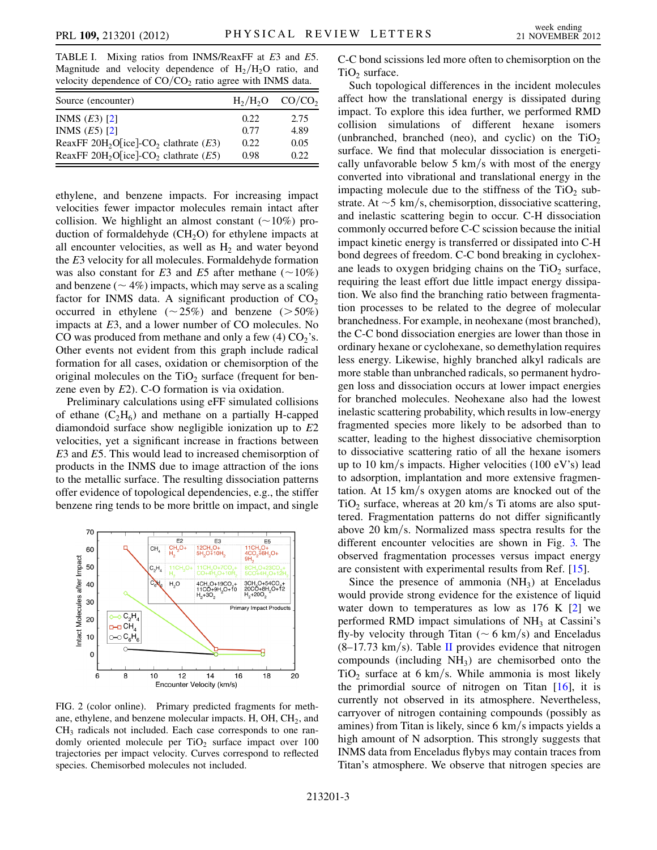<span id="page-2-0"></span>TABLE I. Mixing ratios from INMS/ReaxFF at E3 and E5. Magnitude and velocity dependence of  $H_2/H_2O$  ratio, and velocity dependence of  $CO/CO<sub>2</sub>$  ratio agree with INMS data.

| Source (encounter)                                              |      | $H_2/H_2O$ CO/CO <sub>2</sub> |
|-----------------------------------------------------------------|------|-------------------------------|
| INMS $(E3)$ [2]                                                 | 0.22 | 2.75                          |
| INMS $(E5)$ [2]                                                 | 0.77 | 4.89                          |
| ReaxFF 20H <sub>2</sub> O[ice]-CO <sub>2</sub> clathrate $(E3)$ | 0.22 | 0.05                          |
| ReaxFF 20H <sub>2</sub> O[ice]-CO <sub>2</sub> clathrate $(E5)$ | 0.98 | 0.22.                         |

ethylene, and benzene impacts. For increasing impact velocities fewer impactor molecules remain intact after collision. We highlight an almost constant  $(\sim 10\%)$  production of formaldehyde  $(CH_2O)$  for ethylene impacts at all encounter velocities, as well as  $H_2$  and water beyond the E3 velocity for all molecules. Formaldehyde formation was also constant for E3 and E5 after methane  $(\sim 10\%)$ and benzene ( $\sim$  4%) impacts, which may serve as a scaling factor for INMS data. A significant production of  $CO<sub>2</sub>$ occurred in ethylene  $(\sim 25\%)$  and benzene ( $> 50\%)$ impacts at E3, and a lower number of CO molecules. No CO was produced from methane and only a few  $(4)$  CO<sub>2</sub>'s. Other events not evident from this graph include radical formation for all cases, oxidation or chemisorption of the original molecules on the  $TiO<sub>2</sub>$  surface (frequent for benzene even by E2). C-O formation is via oxidation.

Preliminary calculations using eFF simulated collisions of ethane  $(C_2H_6)$  and methane on a partially H-capped diamondoid surface show negligible ionization up to E2 velocities, yet a significant increase in fractions between E3 and E5. This would lead to increased chemisorption of products in the INMS due to image attraction of the ions to the metallic surface. The resulting dissociation patterns offer evidence of topological dependencies, e.g., the stiffer benzene ring tends to be more brittle on impact, and single

<span id="page-2-1"></span>

FIG. 2 (color online). Primary predicted fragments for methane, ethylene, and benzene molecular impacts. H,  $OH$ ,  $CH<sub>2</sub>$ , and CH<sub>3</sub> radicals not included. Each case corresponds to one randomly oriented molecule per  $TiO<sub>2</sub>$  surface impact over  $100$ trajectories per impact velocity. Curves correspond to reflected species. Chemisorbed molecules not included.

C-C bond scissions led more often to chemisorption on the  $TiO<sub>2</sub>$  surface.

Such topological differences in the incident molecules affect how the translational energy is dissipated during impact. To explore this idea further, we performed RMD collision simulations of different hexane isomers (unbranched, branched (neo), and cyclic) on the  $TiO<sub>2</sub>$ surface. We find that molecular dissociation is energetically unfavorable below  $5 \text{ km/s}$  with most of the energy converted into vibrational and translational energy in the impacting molecule due to the stiffness of the  $TiO<sub>2</sub>$  substrate. At  $\sim$  5 km/s, chemisorption, dissociative scattering, and inelastic scattering begin to occur. C-H dissociation commonly occurred before C-C scission because the initial impact kinetic energy is transferred or dissipated into C-H bond degrees of freedom. C-C bond breaking in cyclohexane leads to oxygen bridging chains on the  $TiO<sub>2</sub>$  surface, requiring the least effort due little impact energy dissipation. We also find the branching ratio between fragmentation processes to be related to the degree of molecular branchedness. For example, in neohexane (most branched), the C-C bond dissociation energies are lower than those in ordinary hexane or cyclohexane, so demethylation requires less energy. Likewise, highly branched alkyl radicals are more stable than unbranched radicals, so permanent hydrogen loss and dissociation occurs at lower impact energies for branched molecules. Neohexane also had the lowest inelastic scattering probability, which results in low-energy fragmented species more likely to be adsorbed than to scatter, leading to the highest dissociative chemisorption to dissociative scattering ratio of all the hexane isomers up to 10 km/s impacts. Higher velocities (100 eV's) lead to adsorption, implantation and more extensive fragmentation. At  $15 \text{ km/s}$  oxygen atoms are knocked out of the  $TiO<sub>2</sub>$  surface, whereas at 20 km/s Ti atoms are also sputtered. Fragmentation patterns do not differ significantly above 20 km/s. Normalized mass spectra results for the different encounter velocities are shown in Fig. [3.](#page-3-0) The observed fragmentation processes versus impact energy are consistent with experimental results from Ref. [\[15\]](#page-4-15).

Since the presence of ammonia  $(NH_3)$  at Enceladus would provide strong evidence for the existence of liquid water down to temperatures as low as  $176$  K  $[2]$  $[2]$  we performed RMD impact simulations of  $NH<sub>3</sub>$  at Cassini's fly-by velocity through Titan ( $\sim$  6 km/s) and Enceladus  $(8-17.73 \text{ km/s})$ . Table [II](#page-3-1) provides evidence that nitrogen compounds (including  $NH<sub>3</sub>$ ) are chemisorbed onto the TiO<sub>2</sub> surface at 6 km/s. While ammonia is most likely the primordial source of nitrogen on Titan  $[16]$ , it is currently not observed in its atmosphere. Nevertheless, carryover of nitrogen containing compounds (possibly as amines) from Titan is likely, since  $6 \text{ km/s}$  impacts yields a high amount of N adsorption. This strongly suggests that INMS data from Enceladus flybys may contain traces from Titan's atmosphere. We observe that nitrogen species are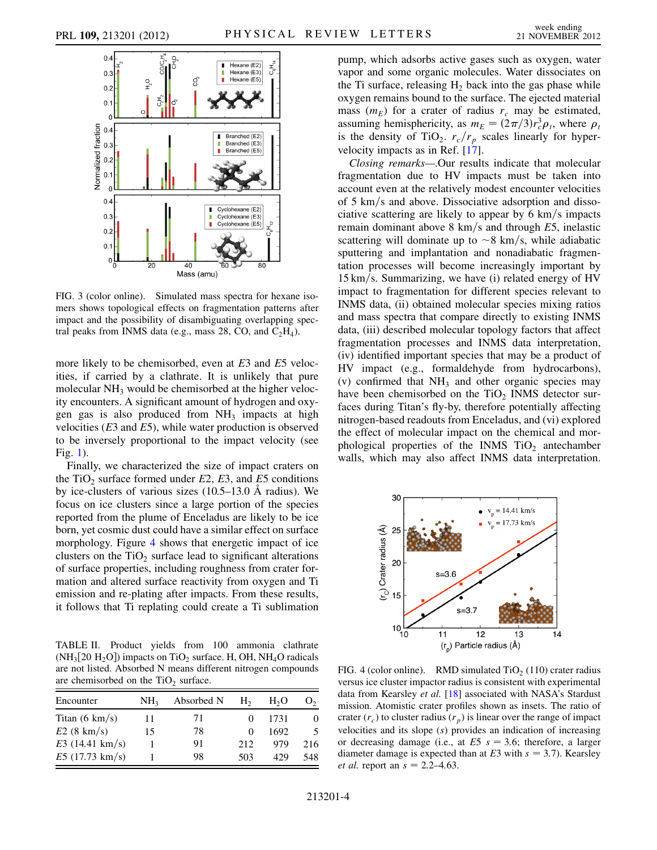<span id="page-3-0"></span>

FIG. 3 (color online). Simulated mass spectra for hexane isomers shows topological effects on fragmentation patterns after impact and the possibility of disambiguating overlapping spectral peaks from INMS data (e.g., mass 28, CO, and  $C_2H_4$ ).

more likely to be chemisorbed, even at E3 and E5 velocities, if carried by a clathrate. It is unlikely that pure molecular  $NH<sub>3</sub>$  would be chemisorbed at the higher velocity encounters. A significant amount of hydrogen and oxygen gas is also produced from  $NH_3$  impacts at high velocities  $(E3 \text{ and } E5)$ , while water production is observed to be inversely proportional to the impact velocity (see Fig. [1\)](#page-1-0).

Finally, we characterized the size of impact craters on the TiO<sub>2</sub> surface formed under E2, E3, and E5 conditions by ice-clusters of various sizes  $(10.5-13.0 \text{ Å} \text{ radius})$ . We focus on ice clusters since a large portion of the species reported from the plume of Enceladus are likely to be ice born, yet cosmic dust could have a similar effect on surface morphology. Figure [4](#page-3-2) shows that energetic impact of ice clusters on the  $TiO<sub>2</sub>$  surface lead to significant alterations of surface properties, including roughness from crater formation and altered surface reactivity from oxygen and Ti emission and re-plating after impacts. From these results, it follows that Ti replating could create a Ti sublimation

<span id="page-3-1"></span>TABLE II. Product yields from 100 ammonia clathrate  $(NH_3[20 H_2O])$  impacts on TiO<sub>2</sub> surface. H, OH, NH<sub>4</sub>O radicals are not listed. Absorbed N means different nitrogen compounds are chemisorbed on the  $TiO<sub>2</sub>$  surface.

| Encounter                | NH <sub>3</sub> | Absorbed N | H <sub>2</sub> | H <sub>2</sub> O | ( )、     |
|--------------------------|-----------------|------------|----------------|------------------|----------|
| Titan $(6 \text{ km/s})$ | 11              | 71         |                | 1731             | $\theta$ |
| $E2(8 \text{ km/s})$     | 15              | 78         |                | 1692             | 5        |
| $E3(14.41 \text{ km/s})$ |                 | 91         | 212            | 979              | 216      |
| $E5(17.73 \text{ km/s})$ |                 | 98         | 503            | 429              | 548      |

pump, which adsorbs active gases such as oxygen, water vapor and some organic molecules. Water dissociates on the Ti surface, releasing  $H_2$  back into the gas phase while oxygen remains bound to the surface. The ejected material mass  $(m_E)$  for a crater of radius  $r_c$  may be estimated, assuming hemisphericity, as  $m_E = (2\pi/3)r_c^3 \rho_t$ , where  $\rho_t$ is the density of TiO<sub>2</sub>.  $r_c/r_p$  scales linearly for hypervelocity impacts as in Ref. [[17](#page-4-17)].

Closing remarks—.Our results indicate that molecular fragmentation due to HV impacts must be taken into account even at the relatively modest encounter velocities of 5 km/s and above. Dissociative adsorption and dissociative scattering are likely to appear by  $6 \text{ km/s}$  impacts remain dominant above  $8 \text{ km/s}$  and through E5, inelastic scattering will dominate up to  $\sim$ 8 km/s, while adiabatic sputtering and implantation and nonadiabatic fragmentation processes will become increasingly important by  $15 \text{ km/s}$ . Summarizing, we have (i) related energy of HV impact to fragmentation for different species relevant to INMS data, (ii) obtained molecular species mixing ratios and mass spectra that compare directly to existing INMS data, (iii) described molecular topology factors that affect fragmentation processes and INMS data interpretation, (iv) identified important species that may be a product of HV impact (e.g., formaldehyde from hydrocarbons), (v) confirmed that  $NH_3$  and other organic species may have been chemisorbed on the  $TiO<sub>2</sub>$  INMS detector surfaces during Titan's fly-by, therefore potentially affecting nitrogen-based readouts from Enceladus, and (vi) explored the effect of molecular impact on the chemical and morphological properties of the INMS  $TiO<sub>2</sub>$  antechamber walls, which may also affect INMS data interpretation.

<span id="page-3-2"></span>

FIG. 4 (color online). RMD simulated  $TiO<sub>2</sub>$  (110) crater radius versus ice cluster impactor radius is consistent with experimental data from Kearsley et al. [[18](#page-4-18)] associated with NASA's Stardust mission. Atomistic crater profiles shown as insets. The ratio of crater  $(r_c)$  to cluster radius  $(r_p)$  is linear over the range of impact velocities and its slope (s) provides an indication of increasing or decreasing damage (i.e., at  $E5 s = 3.6$ ; therefore, a larger diameter damage is expected than at  $E3$  with  $s = 3.7$ ). Kearsley *et al.* report an  $s = 2.2 - 4.63$ .